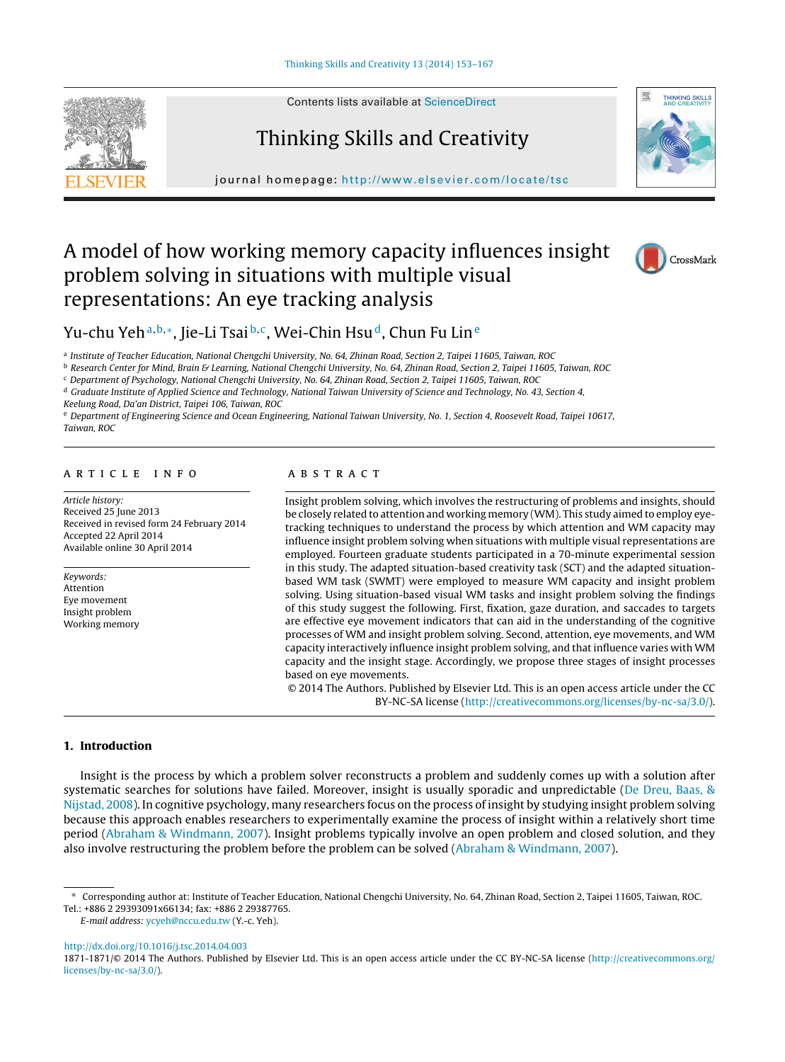

Contents lists available at [ScienceDirect](http://www.sciencedirect.com/science/journal/18711871)

# Thinking Skills and Creativity



journal homepage: <http://www.elsevier.com/locate/tsc>

## A model of how working memory capacity influences insight problem solving in situations with multiple visual representations: An eye tracking analysis



### Yu-chu Yeh<sup>a,b,∗</sup>, Jie-Li Tsai<sup>b,c</sup>, Wei-Chin Hsu<sup>d</sup>, Chun Fu Lin<sup>e</sup>

<sup>a</sup> Institute of Teacher Education, National Chengchi University, No. 64, Zhinan Road, Section 2, Taipei 11605, Taiwan, ROC

<sup>b</sup> Research Center for Mind, Brain & Learning, National Chengchi University, No. 64, Zhinan Road, Section 2, Taipei 11605, Taiwan, ROC

<sup>c</sup> Department of Psychology, National Chengchi University, No. 64, Zhinan Road, Section 2, Taipei 11605, Taiwan, ROC

<sup>d</sup> Graduate Institute of Applied Science and Technology, National Taiwan University of Science and Technology, No. 43, Section 4,

Keelung Road, Da'an District, Taipei 106, Taiwan, ROC

<sup>e</sup> Department of Engineering Science and Ocean Engineering, National Taiwan University, No. 1, Section 4, Roosevelt Road, Taipei 10617, Taiwan, ROC

#### a r t i c l e i n f o

Article history: Received 25 June 2013 Received in revised form 24 February 2014 Accepted 22 April 2014 Available online 30 April 2014

Keywords: Attention Eye movement Insight problem Working memory

#### a b s t r a c t

Insight problem solving, which involves the restructuring of problems and insights, should be closely related to attention and working memory (WM). This study aimed to employ eyetracking techniques to understand the process by which attention and WM capacity may influence insight problem solving when situations with multiple visual representations are employed. Fourteen graduate students participated in a 70-minute experimental session in this study. The adapted situation-based creativity task (SCT) and the adapted situationbased WM task (SWMT) were employed to measure WM capacity and insight problem solving. Using situation-based visual WM tasks and insight problem solving the findings of this study suggest the following. First, fixation, gaze duration, and saccades to targets are effective eye movement indicators that can aid in the understanding of the cognitive processes of WM and insight problem solving. Second, attention, eye movements, and WM capacity interactively influence insight problem solving, and that influence varies with WM capacity and the insight stage. Accordingly, we propose three stages of insight processes based on eye movements.

© 2014 The Authors. Published by Elsevier Ltd. This is an open access article under the CC BY-NC-SA license [\(http://creativecommons.org/licenses/by-nc-sa/3.0/\)](http://creativecommons.org/licenses/by-nc-sa/3.0/).

#### **1. Introduction**

Insight is the process by which a problem solver reconstructs a problem and suddenly comes up with a solution after systematic searches for solutions have failed. Moreover, insight is usually sporadic and unpredictable [\(De](#page--1-0) [Dreu,](#page--1-0) [Baas,](#page--1-0) [&](#page--1-0) [Nijstad,](#page--1-0) [2008\).](#page--1-0) In cognitive psychology, many researchers focus on the process of insight by studying insight problem solving because this approach enables researchers to experimentally examine the process of insight within a relatively short time period [\(Abraham](#page--1-0) [&](#page--1-0) [Windmann,](#page--1-0) [2007\).](#page--1-0) Insight problems typically involve an open problem and closed solution, and they also involve restructuring the problem before the problem can be solved ([Abraham](#page--1-0) [&](#page--1-0) [Windmann,](#page--1-0) [2007\).](#page--1-0)

[http://dx.doi.org/10.1016/j.tsc.2014.04.003](dx.doi.org/10.1016/j.tsc.2014.04.003)

<sup>∗</sup> Corresponding author at: Institute of Teacher Education, National Chengchi University, No. 64, Zhinan Road, Section 2, Taipei 11605, Taiwan, ROC. Tel.: +886 2 29393091x66134; fax: +886 2 29387765.

E-mail address: [ycyeh@nccu.edu.tw](mailto:ycyeh@nccu.edu.tw) (Y.-c. Yeh).

<sup>1871-1871/©</sup> 2014 The Authors. Published by Elsevier Ltd. This is an open access article under the CC BY-NC-SA license ([http://creativecommons.org/](http://creativecommons.org/licenses/by-nc-sa/3.0/) [licenses/by-nc-sa/3.0/\)](http://creativecommons.org/licenses/by-nc-sa/3.0/).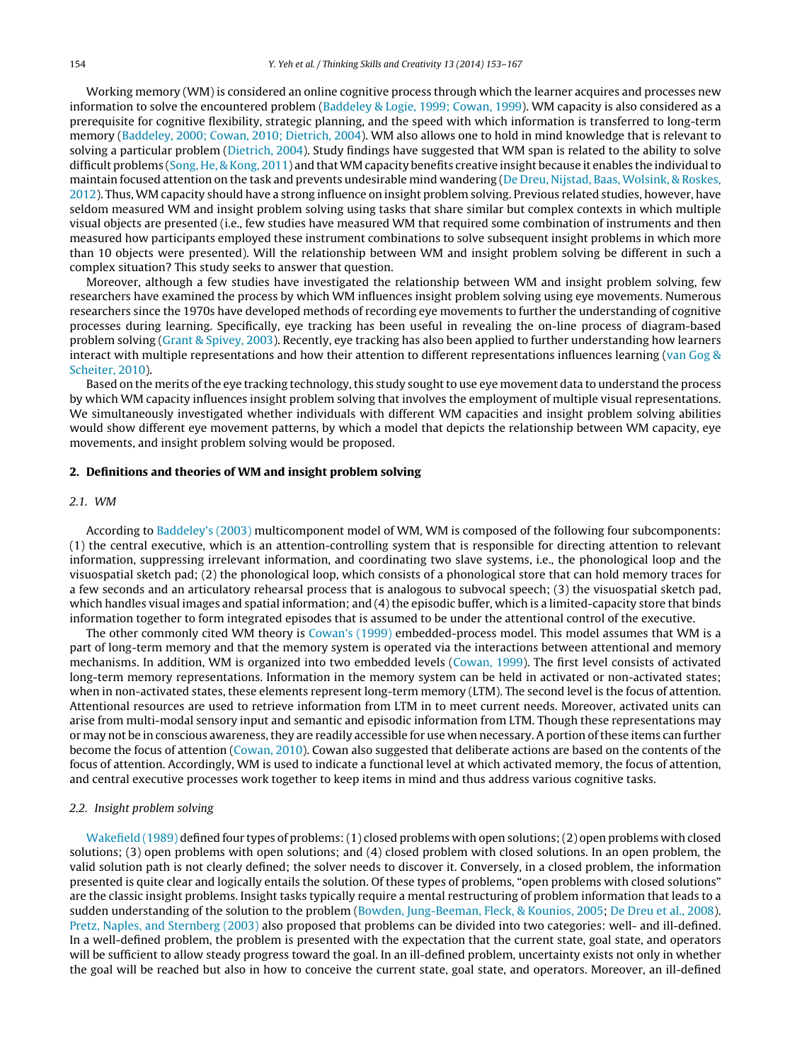Working memory (WM) is considered an online cognitive process through which the learner acquires and processes new information to solve the encountered problem ([Baddeley](#page--1-0) [&](#page--1-0) [Logie,](#page--1-0) [1999;](#page--1-0) [Cowan,](#page--1-0) [1999\).](#page--1-0) WM capacity is also considered as a prerequisite for cognitive flexibility, strategic planning, and the speed with which information is transferred to long-term memory ([Baddeley,](#page--1-0) [2000;](#page--1-0) [Cowan,](#page--1-0) [2010;](#page--1-0) [Dietrich,](#page--1-0) [2004\).](#page--1-0) WM also allows one to hold in mind knowledge that is relevant to solving a particular problem [\(Dietrich,](#page--1-0) [2004\).](#page--1-0) Study findings have suggested that WM span is related to the ability to solve difficult problems ([Song,](#page--1-0) [He,](#page--1-0) [&](#page--1-0) [Kong,](#page--1-0) [2011\)](#page--1-0) and that WM capacity benefits creative insight because it enables the individual to maintain focused attention on the task and prevents undesirable mind wandering ([De](#page--1-0) [Dreu,](#page--1-0) [Nijstad,](#page--1-0) [Baas,](#page--1-0) [Wolsink,](#page--1-0) [&](#page--1-0) [Roskes,](#page--1-0) [2012\).](#page--1-0) Thus, WM capacity should have a strong influence on insight problem solving. Previous related studies, however, have seldom measured WM and insight problem solving using tasks that share similar but complex contexts in which multiple visual objects are presented (i.e., few studies have measured WM that required some combination of instruments and then measured how participants employed these instrument combinations to solve subsequent insight problems in which more than 10 objects were presented). Will the relationship between WM and insight problem solving be different in such a complex situation? This study seeks to answer that question.

Moreover, although a few studies have investigated the relationship between WM and insight problem solving, few researchers have examined the process by which WM influences insight problem solving using eye movements. Numerous researchers since the 1970s have developed methods of recording eye movements to further the understanding of cognitive processes during learning. Specifically, eye tracking has been useful in revealing the on-line process of diagram-based problem solving ([Grant](#page--1-0) [&](#page--1-0) [Spivey,](#page--1-0) [2003\).](#page--1-0) Recently, eye tracking has also been applied to further understanding how learners interact with multiple representations and how their attention to different representations influences learning ([van](#page--1-0) [Gog](#page--1-0)  $\&$  $\&$ [Scheiter,](#page--1-0) [2010\).](#page--1-0)

Based on the merits of the eye tracking technology, this study sought to use eye movement data to understand the process by which WM capacity influences insight problem solving that involves the employment of multiple visual representations. We simultaneously investigated whether individuals with different WM capacities and insight problem solving abilities would show different eye movement patterns, by which a model that depicts the relationship between WM capacity, eye movements, and insight problem solving would be proposed.

#### **2. Definitions and theories of WM and insight problem solving**

#### 2.1. WM

According to [Baddeley's](#page--1-0) [\(2003\)](#page--1-0) multicomponent model of WM, WM is composed of the following four subcomponents: (1) the central executive, which is an attention-controlling system that is responsible for directing attention to relevant information, suppressing irrelevant information, and coordinating two slave systems, i.e., the phonological loop and the visuospatial sketch pad; (2) the phonological loop, which consists of a phonological store that can hold memory traces for a few seconds and an articulatory rehearsal process that is analogous to subvocal speech; (3) the visuospatial sketch pad, which handles visual images and spatial information; and (4) the episodic buffer, which is a limited-capacity store that binds information together to form integrated episodes that is assumed to be under the attentional control of the executive.

The other commonly cited WM theory is [Cowan's](#page--1-0) [\(1999\)](#page--1-0) embedded-process model. This model assumes that WM is a part of long-term memory and that the memory system is operated via the interactions between attentional and memory mechanisms. In addition, WM is organized into two embedded levels ([Cowan,](#page--1-0) [1999\).](#page--1-0) The first level consists of activated long-term memory representations. Information in the memory system can be held in activated or non-activated states; when in non-activated states, these elements represent long-term memory (LTM). The second level is the focus of attention. Attentional resources are used to retrieve information from LTM in to meet current needs. Moreover, activated units can arise from multi-modal sensory input and semantic and episodic information from LTM. Though these representations may or may not be in conscious awareness, they are readily accessible for use when necessary. A portion of these items can further become the focus of attention ([Cowan,](#page--1-0) [2010\).](#page--1-0) Cowan also suggested that deliberate actions are based on the contents of the focus of attention. Accordingly, WM is used to indicate a functional level at which activated memory, the focus of attention, and central executive processes work together to keep items in mind and thus address various cognitive tasks.

#### 2.2. Insight problem solving

[Wakefield](#page--1-0) [\(1989\)](#page--1-0) defined four types of problems:(1) closed problems with open solutions;(2) open problems with closed solutions; (3) open problems with open solutions; and (4) closed problem with closed solutions. In an open problem, the valid solution path is not clearly defined; the solver needs to discover it. Conversely, in a closed problem, the information presented is quite clear and logically entails the solution. Of these types of problems, "open problems with closed solutions" are the classic insight problems. Insight tasks typically require a mental restructuring of problem information that leads to a sudden understanding of the solution to the problem ([Bowden,](#page--1-0) [Jung-Beeman,](#page--1-0) [Fleck,](#page--1-0) [&](#page--1-0) [Kounios,](#page--1-0) [2005;](#page--1-0) [De](#page--1-0) [Dreu](#page--1-0) et [al.,](#page--1-0) [2008\).](#page--1-0) [Pretz,](#page--1-0) [Naples,](#page--1-0) [and](#page--1-0) [Sternberg](#page--1-0) [\(2003\)](#page--1-0) also proposed that problems can be divided into two categories: well- and ill-defined. In a well-defined problem, the problem is presented with the expectation that the current state, goal state, and operators will be sufficient to allow steady progress toward the goal. In an ill-defined problem, uncertainty exists not only in whether the goal will be reached but also in how to conceive the current state, goal state, and operators. Moreover, an ill-defined